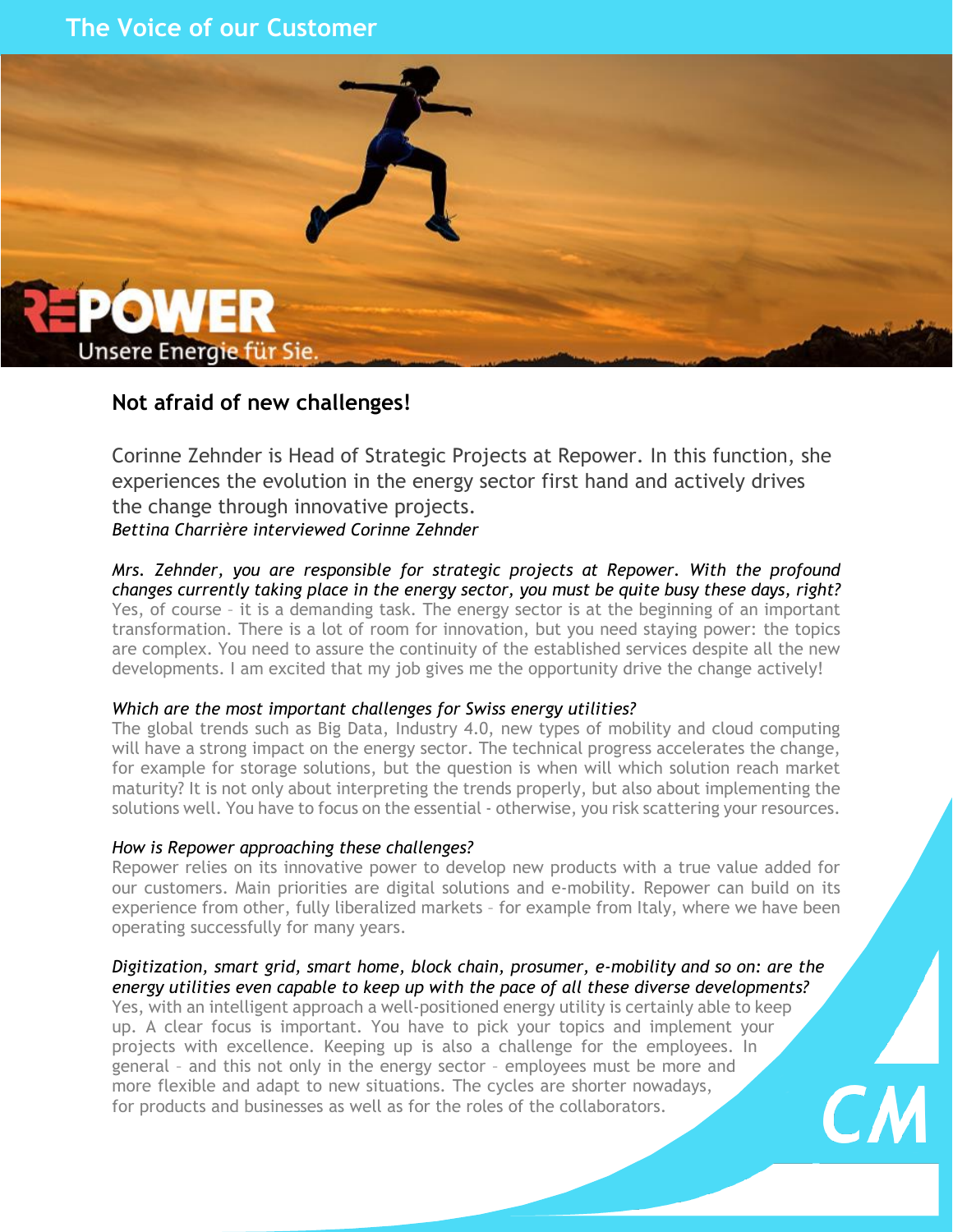# **The Voice of our Customer**



## **Not afraid of new challenges!**

Corinne Zehnder is Head of Strategic Projects at Repower. In this function, she experiences the evolution in the energy sector first hand and actively drives the change through innovative projects. *Bettina Charrière interviewed Corinne Zehnder*

*Mrs. Zehnder, you are responsible for strategic projects at Repower. With the profound changes currently taking place in the energy sector, you must be quite busy these days, right?* Yes, of course – it is a demanding task. The energy sector is at the beginning of an important transformation. There is a lot of room for innovation, but you need staying power: the topics are complex. You need to assure the continuity of the established services despite all the new developments. I am excited that my job gives me the opportunity drive the change actively!

#### *Which are the most important challenges for Swiss energy utilities?*

The global trends such as Big Data, Industry 4.0, new types of mobility and cloud computing will have a strong impact on the energy sector. The technical progress accelerates the change, for example for storage solutions, but the question is when will which solution reach market maturity? It is not only about interpreting the trends properly, but also about implementing the solutions well. You have to focus on the essential - otherwise, you risk scattering your resources.

#### *How is Repower approaching these challenges?*

Repower relies on its innovative power to develop new products with a true value added for our customers. Main priorities are digital solutions and e-mobility. Repower can build on its experience from other, fully liberalized markets – for example from Italy, where we have been operating successfully for many years.

### *Digitization, smart grid, smart home, block chain, prosumer, e-mobility and so on: are the energy utilities even capable to keep up with the pace of all these diverse developments?*

Yes, with an intelligent approach a well-positioned energy utility is certainly able to keep up. A clear focus is important. You have to pick your topics and implement your projects with excellence. Keeping up is also a challenge for the employees. In general – and this not only in the energy sector – employees must be more and more flexible and adapt to new situations. The cycles are shorter nowadays, for products and businesses as well as for the roles of the collaborators.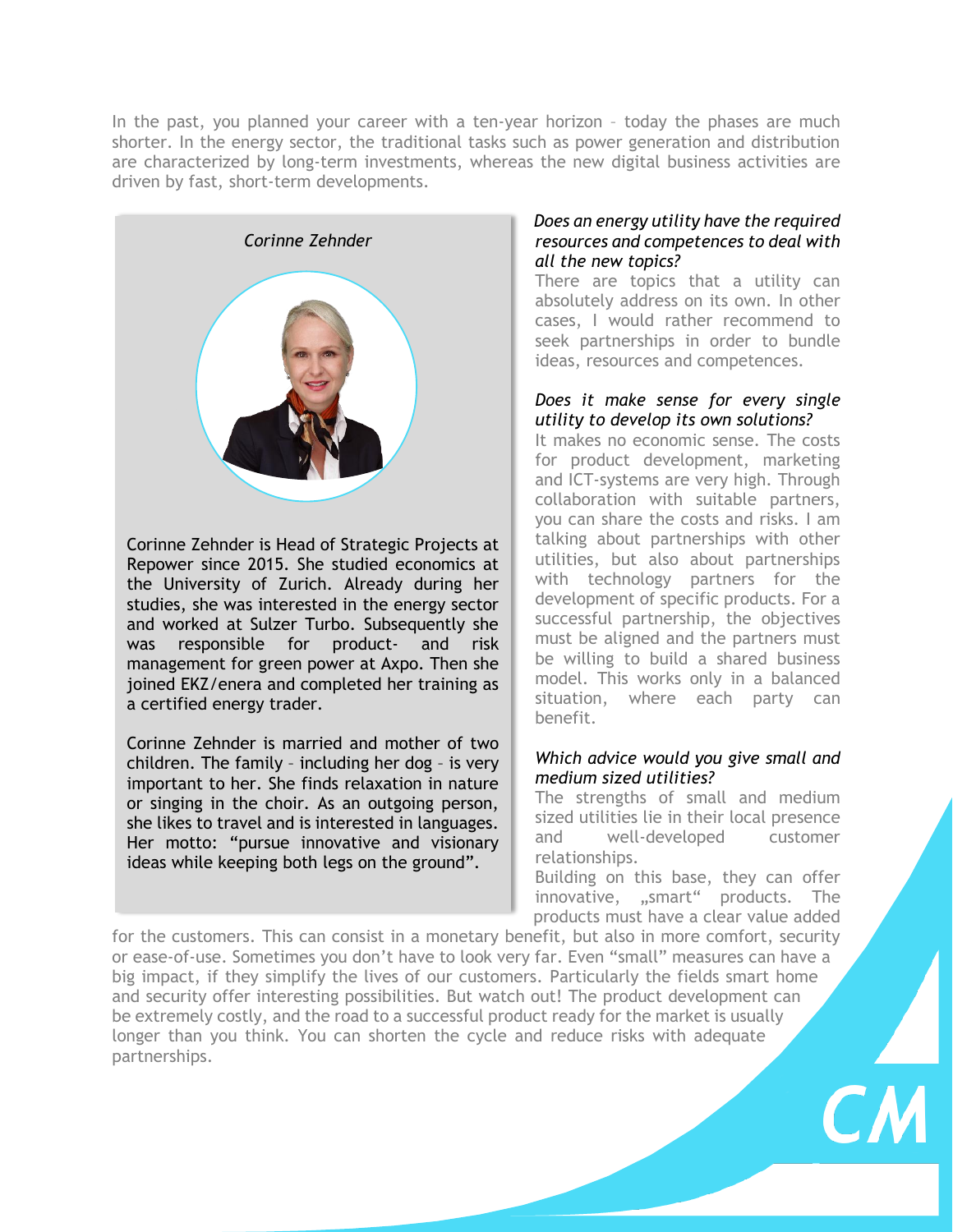In the past, you planned your career with a ten-year horizon – today the phases are much shorter. In the energy sector, the traditional tasks such as power generation and distribution are characterized by long-term investments, whereas the new digital business activities are driven by fast, short-term developments.



Corinne Zehnder is Head of Strategic Projects at Repower since 2015. She studied economics at the University of Zurich. Already during her studies, she was interested in the energy sector and worked at Sulzer Turbo. Subsequently she was responsible for product- and risk management for green power at Axpo. Then she joined EKZ/enera and completed her training as a certified energy trader.

Corinne Zehnder is married and mother of two children. The family – including her dog – is very important to her. She finds relaxation in nature or singing in the choir. As an outgoing person, she likes to travel and is interested in languages. Her motto: "pursue innovative and visionary ideas while keeping both legs on the ground".

#### *Does an energy utility have the required resources and competences to deal with all the new topics?*

There are topics that a utility can absolutely address on its own. In other cases, I would rather recommend to seek partnerships in order to bundle ideas, resources and competences.

#### *Does it make sense for every single utility to develop its own solutions?*

It makes no economic sense. The costs for product development, marketing and ICT-systems are very high. Through collaboration with suitable partners, you can share the costs and risks. I am talking about partnerships with other utilities, but also about partnerships with technology partners for the development of specific products. For a successful partnership, the objectives must be aligned and the partners must be willing to build a shared business model. This works only in a balanced situation, where each party can benefit.

### *Which advice would you give small and medium sized utilities?*

The strengths of small and medium sized utilities lie in their local presence and well-developed customer relationships.

Building on this base, they can offer innovative, "smart" products. The products must have a clear value added

for the customers. This can consist in a monetary benefit, but also in more comfort, security or ease-of-use. Sometimes you don't have to look very far. Even "small" measures can have a big impact, if they simplify the lives of our customers. Particularly the fields smart home and security offer interesting possibilities. But watch out! The product development can be extremely costly, and the road to a successful product ready for the market is usually longer than you think. You can shorten the cycle and reduce risks with adequate partnerships.